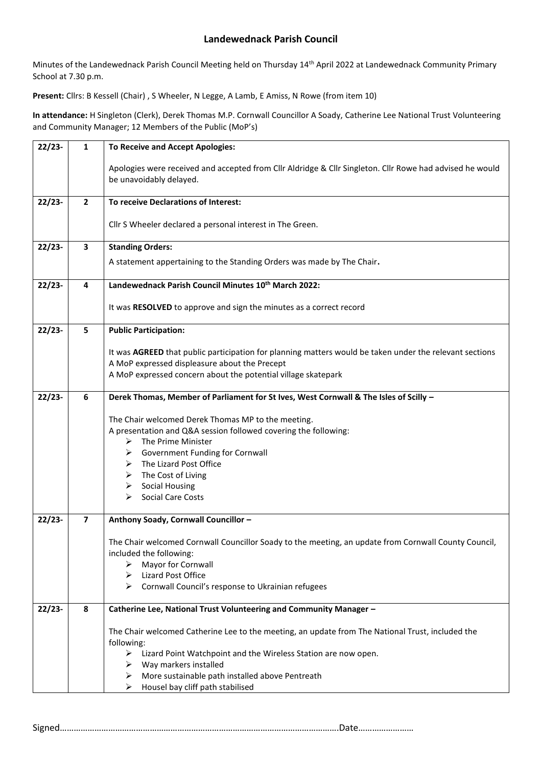Minutes of the Landewednack Parish Council Meeting held on Thursday 14<sup>th</sup> April 2022 at Landewednack Community Primary School at 7.30 p.m.

**Present:** Cllrs: B Kessell (Chair) , S Wheeler, N Legge, A Lamb, E Amiss, N Rowe (from item 10)

**In attendance:** H Singleton (Clerk), Derek Thomas M.P. Cornwall Councillor A Soady, Catherine Lee National Trust Volunteering and Community Manager; 12 Members of the Public (MoP's)

| $22/23-$  | 1                       | <b>To Receive and Accept Apologies:</b>                                                                                             |  |  |  |  |
|-----------|-------------------------|-------------------------------------------------------------------------------------------------------------------------------------|--|--|--|--|
|           |                         | Apologies were received and accepted from Cllr Aldridge & Cllr Singleton. Cllr Rowe had advised he would<br>be unavoidably delayed. |  |  |  |  |
| $22/23-$  | $\mathbf{2}$            | To receive Declarations of Interest:                                                                                                |  |  |  |  |
|           |                         |                                                                                                                                     |  |  |  |  |
|           |                         | Cllr S Wheeler declared a personal interest in The Green.                                                                           |  |  |  |  |
| $22/23-$  | 3                       | <b>Standing Orders:</b>                                                                                                             |  |  |  |  |
|           |                         | A statement appertaining to the Standing Orders was made by The Chair.                                                              |  |  |  |  |
| $22/23-$  | 4                       | Landewednack Parish Council Minutes 10 <sup>th</sup> March 2022:                                                                    |  |  |  |  |
|           |                         | It was RESOLVED to approve and sign the minutes as a correct record                                                                 |  |  |  |  |
| $22/23-$  | 5                       | <b>Public Participation:</b>                                                                                                        |  |  |  |  |
|           |                         | It was AGREED that public participation for planning matters would be taken under the relevant sections                             |  |  |  |  |
|           |                         | A MoP expressed displeasure about the Precept                                                                                       |  |  |  |  |
|           |                         | A MoP expressed concern about the potential village skatepark                                                                       |  |  |  |  |
| $22/23-$  | 6                       | Derek Thomas, Member of Parliament for St Ives, West Cornwall & The Isles of Scilly -                                               |  |  |  |  |
|           |                         | The Chair welcomed Derek Thomas MP to the meeting.                                                                                  |  |  |  |  |
|           |                         | A presentation and Q&A session followed covering the following:                                                                     |  |  |  |  |
|           |                         | The Prime Minister<br>⋗                                                                                                             |  |  |  |  |
|           |                         | Government Funding for Cornwall<br>➤<br>The Lizard Post Office<br>➤                                                                 |  |  |  |  |
|           |                         | The Cost of Living<br>➤                                                                                                             |  |  |  |  |
|           |                         | <b>Social Housing</b><br>➤                                                                                                          |  |  |  |  |
|           |                         | <b>Social Care Costs</b><br>⋗                                                                                                       |  |  |  |  |
| $22/23 -$ | $\overline{\mathbf{z}}$ | Anthony Soady, Cornwall Councillor -                                                                                                |  |  |  |  |
|           |                         | The Chair welcomed Cornwall Councillor Soady to the meeting, an update from Cornwall County Council,                                |  |  |  |  |
|           |                         | included the following:                                                                                                             |  |  |  |  |
|           |                         | Mayor for Cornwall<br>Lizard Post Office                                                                                            |  |  |  |  |
|           |                         | Cornwall Council's response to Ukrainian refugees                                                                                   |  |  |  |  |
|           |                         |                                                                                                                                     |  |  |  |  |
| $22/23-$  | 8                       | Catherine Lee, National Trust Volunteering and Community Manager -                                                                  |  |  |  |  |
|           |                         | The Chair welcomed Catherine Lee to the meeting, an update from The National Trust, included the                                    |  |  |  |  |
|           |                         | following:                                                                                                                          |  |  |  |  |
|           |                         | Lizard Point Watchpoint and the Wireless Station are now open.<br>➤<br>Way markers installed<br>➤                                   |  |  |  |  |
|           |                         | More sustainable path installed above Pentreath<br>➤                                                                                |  |  |  |  |
|           |                         | Housel bay cliff path stabilised<br>⋗                                                                                               |  |  |  |  |

```
Signed………………………………………………………………………………………………………….Date……………………
```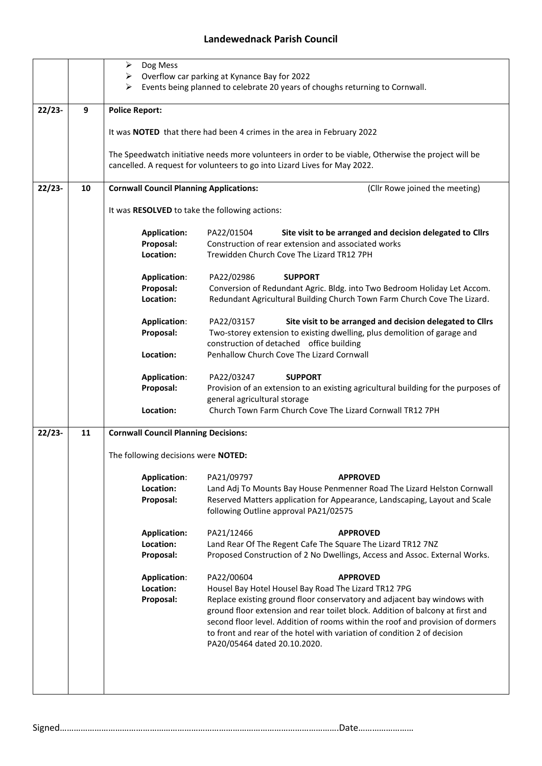|          |    | Dog Mess<br>➤                                                                                                                                                    |                                                                                                                     |  |  |  |  |
|----------|----|------------------------------------------------------------------------------------------------------------------------------------------------------------------|---------------------------------------------------------------------------------------------------------------------|--|--|--|--|
|          |    | Overflow car parking at Kynance Bay for 2022<br>➤<br>Events being planned to celebrate 20 years of choughs returning to Cornwall.<br>➤                           |                                                                                                                     |  |  |  |  |
|          |    |                                                                                                                                                                  |                                                                                                                     |  |  |  |  |
| $22/23-$ | 9  | <b>Police Report:</b>                                                                                                                                            |                                                                                                                     |  |  |  |  |
|          |    |                                                                                                                                                                  |                                                                                                                     |  |  |  |  |
|          |    | It was NOTED that there had been 4 crimes in the area in February 2022                                                                                           |                                                                                                                     |  |  |  |  |
|          |    | The Speedwatch initiative needs more volunteers in order to be viable, Otherwise the project will be                                                             |                                                                                                                     |  |  |  |  |
|          |    | cancelled. A request for volunteers to go into Lizard Lives for May 2022.                                                                                        |                                                                                                                     |  |  |  |  |
| $22/23-$ | 10 | <b>Cornwall Council Planning Applications:</b>                                                                                                                   | (Cllr Rowe joined the meeting)                                                                                      |  |  |  |  |
|          |    | It was RESOLVED to take the following actions:                                                                                                                   |                                                                                                                     |  |  |  |  |
|          |    |                                                                                                                                                                  |                                                                                                                     |  |  |  |  |
|          |    | <b>Application:</b>                                                                                                                                              | PA22/01504<br>Site visit to be arranged and decision delegated to Cllrs                                             |  |  |  |  |
|          |    | Proposal:<br>Location:                                                                                                                                           | Construction of rear extension and associated works<br>Trewidden Church Cove The Lizard TR12 7PH                    |  |  |  |  |
|          |    |                                                                                                                                                                  |                                                                                                                     |  |  |  |  |
|          |    | <b>Application:</b>                                                                                                                                              | <b>SUPPORT</b><br>PA22/02986                                                                                        |  |  |  |  |
|          |    | Proposal:<br>Location:                                                                                                                                           | Conversion of Redundant Agric. Bldg. into Two Bedroom Holiday Let Accom.                                            |  |  |  |  |
|          |    |                                                                                                                                                                  | Redundant Agricultural Building Church Town Farm Church Cove The Lizard.                                            |  |  |  |  |
|          |    | <b>Application:</b>                                                                                                                                              | PA22/03157<br>Site visit to be arranged and decision delegated to Cllrs                                             |  |  |  |  |
|          |    | Proposal:                                                                                                                                                        | Two-storey extension to existing dwelling, plus demolition of garage and                                            |  |  |  |  |
|          |    | Location:                                                                                                                                                        | construction of detached office building<br>Penhallow Church Cove The Lizard Cornwall                               |  |  |  |  |
|          |    |                                                                                                                                                                  |                                                                                                                     |  |  |  |  |
|          |    | <b>Application:</b>                                                                                                                                              | PA22/03247<br><b>SUPPORT</b>                                                                                        |  |  |  |  |
|          |    | Proposal:                                                                                                                                                        | Provision of an extension to an existing agricultural building for the purposes of<br>general agricultural storage  |  |  |  |  |
|          |    | Location:                                                                                                                                                        | Church Town Farm Church Cove The Lizard Cornwall TR12 7PH                                                           |  |  |  |  |
| $22/23-$ | 11 |                                                                                                                                                                  |                                                                                                                     |  |  |  |  |
|          |    | <b>Cornwall Council Planning Decisions:</b>                                                                                                                      |                                                                                                                     |  |  |  |  |
|          |    | The following decisions were NOTED:                                                                                                                              |                                                                                                                     |  |  |  |  |
|          |    | <b>Application:</b>                                                                                                                                              | PA21/09797<br><b>APPROVED</b>                                                                                       |  |  |  |  |
|          |    | Location:                                                                                                                                                        | Land Adj To Mounts Bay House Penmenner Road The Lizard Helston Cornwall                                             |  |  |  |  |
|          |    | Proposal:                                                                                                                                                        | Reserved Matters application for Appearance, Landscaping, Layout and Scale<br>following Outline approval PA21/02575 |  |  |  |  |
|          |    |                                                                                                                                                                  |                                                                                                                     |  |  |  |  |
|          |    | <b>Application:</b>                                                                                                                                              | PA21/12466<br><b>APPROVED</b>                                                                                       |  |  |  |  |
|          |    | Location:                                                                                                                                                        | Land Rear Of The Regent Cafe The Square The Lizard TR12 7NZ                                                         |  |  |  |  |
|          |    | Proposal:                                                                                                                                                        | Proposed Construction of 2 No Dwellings, Access and Assoc. External Works.                                          |  |  |  |  |
|          |    | <b>Application:</b>                                                                                                                                              | PA22/00604<br><b>APPROVED</b>                                                                                       |  |  |  |  |
|          |    | Location:                                                                                                                                                        | Housel Bay Hotel Housel Bay Road The Lizard TR12 7PG                                                                |  |  |  |  |
|          |    | Proposal:                                                                                                                                                        | Replace existing ground floor conservatory and adjacent bay windows with                                            |  |  |  |  |
|          |    | ground floor extension and rear toilet block. Addition of balcony at first and<br>second floor level. Addition of rooms within the roof and provision of dormers |                                                                                                                     |  |  |  |  |
|          |    |                                                                                                                                                                  | to front and rear of the hotel with variation of condition 2 of decision                                            |  |  |  |  |
|          |    |                                                                                                                                                                  | PA20/05464 dated 20.10.2020.                                                                                        |  |  |  |  |
|          |    |                                                                                                                                                                  |                                                                                                                     |  |  |  |  |
|          |    |                                                                                                                                                                  |                                                                                                                     |  |  |  |  |
|          |    |                                                                                                                                                                  |                                                                                                                     |  |  |  |  |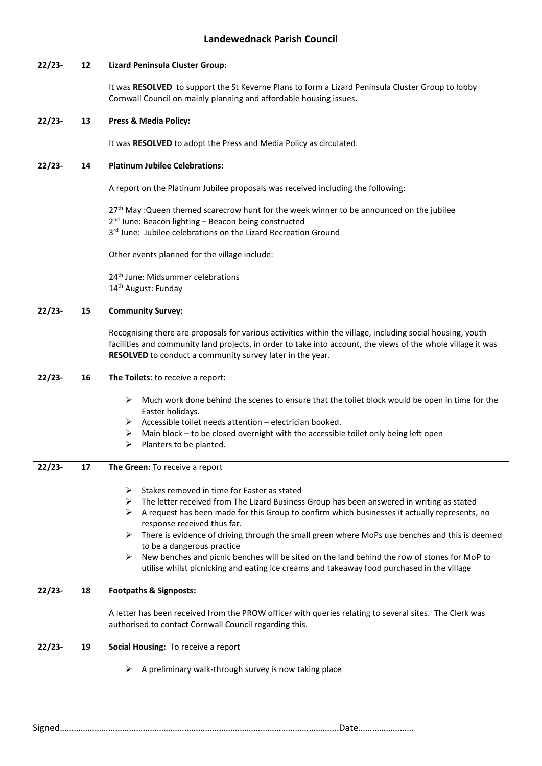| $22/23-$ | 12                                      | <b>Lizard Peninsula Cluster Group:</b>                                                                                                                                                                                                                                                                                                                                                                                                                                                                                                                                                                                          |  |  |  |  |
|----------|-----------------------------------------|---------------------------------------------------------------------------------------------------------------------------------------------------------------------------------------------------------------------------------------------------------------------------------------------------------------------------------------------------------------------------------------------------------------------------------------------------------------------------------------------------------------------------------------------------------------------------------------------------------------------------------|--|--|--|--|
|          |                                         | It was RESOLVED to support the St Keverne Plans to form a Lizard Peninsula Cluster Group to lobby<br>Cornwall Council on mainly planning and affordable housing issues.                                                                                                                                                                                                                                                                                                                                                                                                                                                         |  |  |  |  |
| $22/23-$ | 13                                      | <b>Press &amp; Media Policy:</b>                                                                                                                                                                                                                                                                                                                                                                                                                                                                                                                                                                                                |  |  |  |  |
|          |                                         | It was RESOLVED to adopt the Press and Media Policy as circulated.                                                                                                                                                                                                                                                                                                                                                                                                                                                                                                                                                              |  |  |  |  |
| $22/23-$ | 14                                      | <b>Platinum Jubilee Celebrations:</b>                                                                                                                                                                                                                                                                                                                                                                                                                                                                                                                                                                                           |  |  |  |  |
|          |                                         | A report on the Platinum Jubilee proposals was received including the following:                                                                                                                                                                                                                                                                                                                                                                                                                                                                                                                                                |  |  |  |  |
|          |                                         | 27 <sup>th</sup> May : Queen themed scarecrow hunt for the week winner to be announced on the jubilee<br>2 <sup>nd</sup> June: Beacon lighting - Beacon being constructed<br>3rd June: Jubilee celebrations on the Lizard Recreation Ground                                                                                                                                                                                                                                                                                                                                                                                     |  |  |  |  |
|          |                                         | Other events planned for the village include:                                                                                                                                                                                                                                                                                                                                                                                                                                                                                                                                                                                   |  |  |  |  |
|          |                                         | 24 <sup>th</sup> June: Midsummer celebrations<br>14 <sup>th</sup> August: Funday                                                                                                                                                                                                                                                                                                                                                                                                                                                                                                                                                |  |  |  |  |
| $22/23-$ | 15                                      | <b>Community Survey:</b>                                                                                                                                                                                                                                                                                                                                                                                                                                                                                                                                                                                                        |  |  |  |  |
|          |                                         | Recognising there are proposals for various activities within the village, including social housing, youth<br>facilities and community land projects, in order to take into account, the views of the whole village it was<br>RESOLVED to conduct a community survey later in the year.                                                                                                                                                                                                                                                                                                                                         |  |  |  |  |
| $22/23-$ | 16<br>The Toilets: to receive a report: |                                                                                                                                                                                                                                                                                                                                                                                                                                                                                                                                                                                                                                 |  |  |  |  |
|          |                                         | Much work done behind the scenes to ensure that the toilet block would be open in time for the<br>➤<br>Easter holidays.<br>$\triangleright$ Accessible toilet needs attention – electrician booked.<br>Main block - to be closed overnight with the accessible toilet only being left open<br>➤<br>Planters to be planted.<br>➤                                                                                                                                                                                                                                                                                                 |  |  |  |  |
| $22/23-$ | 17                                      | The Green: To receive a report                                                                                                                                                                                                                                                                                                                                                                                                                                                                                                                                                                                                  |  |  |  |  |
|          |                                         | Stakes removed in time for Easter as stated<br>➤<br>The letter received from The Lizard Business Group has been answered in writing as stated<br>➤<br>A request has been made for this Group to confirm which businesses it actually represents, no<br>➤<br>response received thus far.<br>There is evidence of driving through the small green where MoPs use benches and this is deemed<br>➤<br>to be a dangerous practice<br>New benches and picnic benches will be sited on the land behind the row of stones for MoP to<br>➤<br>utilise whilst picnicking and eating ice creams and takeaway food purchased in the village |  |  |  |  |
| $22/23-$ | 18                                      | <b>Footpaths &amp; Signposts:</b>                                                                                                                                                                                                                                                                                                                                                                                                                                                                                                                                                                                               |  |  |  |  |
|          |                                         | A letter has been received from the PROW officer with queries relating to several sites. The Clerk was<br>authorised to contact Cornwall Council regarding this.                                                                                                                                                                                                                                                                                                                                                                                                                                                                |  |  |  |  |
| $22/23-$ | 19                                      | Social Housing: To receive a report                                                                                                                                                                                                                                                                                                                                                                                                                                                                                                                                                                                             |  |  |  |  |
|          |                                         | A preliminary walk-through survey is now taking place<br>➤                                                                                                                                                                                                                                                                                                                                                                                                                                                                                                                                                                      |  |  |  |  |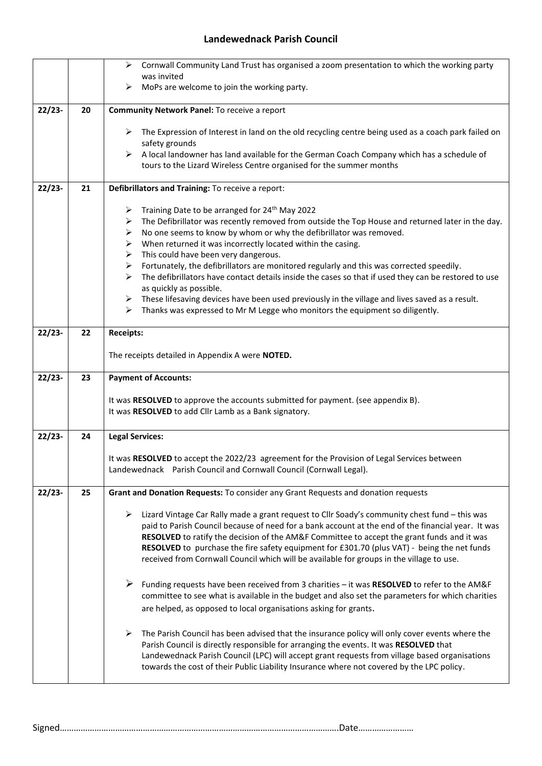|          |    | Cornwall Community Land Trust has organised a zoom presentation to which the working party<br>➤                                                                                                      |  |  |  |
|----------|----|------------------------------------------------------------------------------------------------------------------------------------------------------------------------------------------------------|--|--|--|
|          |    | was invited<br>MoPs are welcome to join the working party.<br>➤                                                                                                                                      |  |  |  |
|          |    |                                                                                                                                                                                                      |  |  |  |
| $22/23-$ | 20 | <b>Community Network Panel: To receive a report</b>                                                                                                                                                  |  |  |  |
|          |    | $\triangleright$ The Expression of Interest in land on the old recycling centre being used as a coach park failed on                                                                                 |  |  |  |
|          |    | safety grounds                                                                                                                                                                                       |  |  |  |
|          |    | $\triangleright$ A local landowner has land available for the German Coach Company which has a schedule of                                                                                           |  |  |  |
|          |    | tours to the Lizard Wireless Centre organised for the summer months                                                                                                                                  |  |  |  |
| $22/23-$ | 21 | Defibrillators and Training: To receive a report:                                                                                                                                                    |  |  |  |
|          |    | Training Date to be arranged for 24 <sup>th</sup> May 2022<br>➤                                                                                                                                      |  |  |  |
|          |    | The Defibrillator was recently removed from outside the Top House and returned later in the day.<br>➤                                                                                                |  |  |  |
|          |    | No one seems to know by whom or why the defibrillator was removed.<br>➤                                                                                                                              |  |  |  |
|          |    | When returned it was incorrectly located within the casing.<br>➤                                                                                                                                     |  |  |  |
|          |    | This could have been very dangerous.<br>➤                                                                                                                                                            |  |  |  |
|          |    | Fortunately, the defibrillators are monitored regularly and this was corrected speedily.<br>➤                                                                                                        |  |  |  |
|          |    | The defibrillators have contact details inside the cases so that if used they can be restored to use<br>⋗<br>as quickly as possible.                                                                 |  |  |  |
|          |    | These lifesaving devices have been used previously in the village and lives saved as a result.<br>➤                                                                                                  |  |  |  |
|          |    | Thanks was expressed to Mr M Legge who monitors the equipment so diligently.<br>➤                                                                                                                    |  |  |  |
| $22/23-$ | 22 | <b>Receipts:</b>                                                                                                                                                                                     |  |  |  |
|          |    |                                                                                                                                                                                                      |  |  |  |
|          |    | The receipts detailed in Appendix A were NOTED.                                                                                                                                                      |  |  |  |
|          |    |                                                                                                                                                                                                      |  |  |  |
| $22/23-$ | 23 | <b>Payment of Accounts:</b>                                                                                                                                                                          |  |  |  |
|          |    |                                                                                                                                                                                                      |  |  |  |
|          |    | It was RESOLVED to approve the accounts submitted for payment. (see appendix B).                                                                                                                     |  |  |  |
|          |    | It was RESOLVED to add Cllr Lamb as a Bank signatory.                                                                                                                                                |  |  |  |
| $22/23-$ | 24 | <b>Legal Services:</b>                                                                                                                                                                               |  |  |  |
|          |    |                                                                                                                                                                                                      |  |  |  |
|          |    | It was RESOLVED to accept the 2022/23 agreement for the Provision of Legal Services between                                                                                                          |  |  |  |
|          |    | Landewednack Parish Council and Cornwall Council (Cornwall Legal).                                                                                                                                   |  |  |  |
| $22/23-$ | 25 | Grant and Donation Requests: To consider any Grant Requests and donation requests                                                                                                                    |  |  |  |
|          |    |                                                                                                                                                                                                      |  |  |  |
|          |    | Lizard Vintage Car Rally made a grant request to Cllr Soady's community chest fund - this was<br>paid to Parish Council because of need for a bank account at the end of the financial year. It was  |  |  |  |
|          |    | RESOLVED to ratify the decision of the AM&F Committee to accept the grant funds and it was                                                                                                           |  |  |  |
|          |    | RESOLVED to purchase the fire safety equipment for £301.70 (plus VAT) - being the net funds                                                                                                          |  |  |  |
|          |    | received from Cornwall Council which will be available for groups in the village to use.                                                                                                             |  |  |  |
|          |    |                                                                                                                                                                                                      |  |  |  |
|          |    | ➤<br>Funding requests have been received from 3 charities - it was RESOLVED to refer to the AM&F<br>committee to see what is available in the budget and also set the parameters for which charities |  |  |  |
|          |    | are helped, as opposed to local organisations asking for grants.                                                                                                                                     |  |  |  |
|          |    |                                                                                                                                                                                                      |  |  |  |
|          |    | The Parish Council has been advised that the insurance policy will only cover events where the<br>➤                                                                                                  |  |  |  |
|          |    | Parish Council is directly responsible for arranging the events. It was RESOLVED that                                                                                                                |  |  |  |
|          |    | Landewednack Parish Council (LPC) will accept grant requests from village based organisations<br>towards the cost of their Public Liability Insurance where not covered by the LPC policy.           |  |  |  |